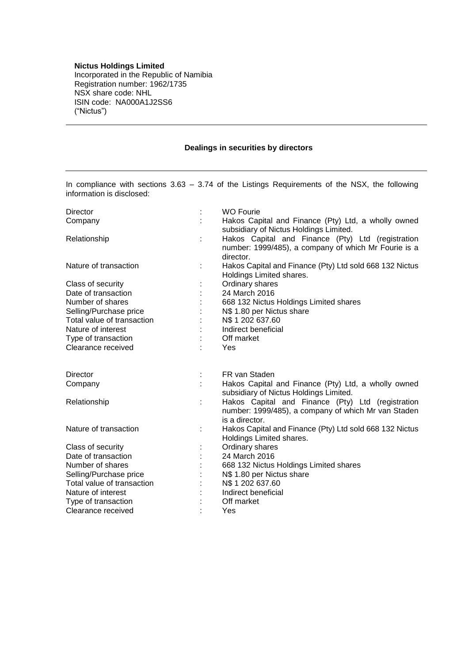## **Nictus Holdings Limited**

Incorporated in the Republic of Namibia Registration number: 1962/1735 NSX share code: NHL ISIN code: NA000A1J2SS6 ("Nictus")

## **Dealings in securities by directors**

In compliance with sections 3.63 – 3.74 of the Listings Requirements of the NSX, the following information is disclosed:

| Director                   |   | <b>WO Fourie</b>                                                                                                       |
|----------------------------|---|------------------------------------------------------------------------------------------------------------------------|
| Company                    |   | Hakos Capital and Finance (Pty) Ltd, a wholly owned<br>subsidiary of Nictus Holdings Limited.                          |
| Relationship               | ÷ | Hakos Capital and Finance (Pty) Ltd (registration<br>number: 1999/485), a company of which Mr Fourie is a<br>director. |
| Nature of transaction      |   | Hakos Capital and Finance (Pty) Ltd sold 668 132 Nictus<br>Holdings Limited shares.                                    |
| Class of security          |   | Ordinary shares                                                                                                        |
| Date of transaction        |   | 24 March 2016                                                                                                          |
| Number of shares           |   | 668 132 Nictus Holdings Limited shares                                                                                 |
| Selling/Purchase price     |   | N\$ 1.80 per Nictus share                                                                                              |
| Total value of transaction |   | N\$ 1 202 637.60                                                                                                       |
| Nature of interest         |   | Indirect beneficial                                                                                                    |
| Type of transaction        |   | Off market                                                                                                             |
| Clearance received         |   | Yes                                                                                                                    |
| Director                   | ÷ | FR van Staden                                                                                                          |
| Company                    |   | Hakos Capital and Finance (Pty) Ltd, a wholly owned<br>subsidiary of Nictus Holdings Limited.                          |
| Relationship               |   | Hakos Capital and Finance (Pty) Ltd (registration                                                                      |
|                            |   | number: 1999/485), a company of which Mr van Staden<br>is a director.                                                  |
| Nature of transaction      |   | Hakos Capital and Finance (Pty) Ltd sold 668 132 Nictus<br>Holdings Limited shares.                                    |
| Class of security          |   | Ordinary shares                                                                                                        |
| Date of transaction        |   | 24 March 2016                                                                                                          |
| Number of shares           |   | 668 132 Nictus Holdings Limited shares                                                                                 |
| Selling/Purchase price     |   | N\$ 1.80 per Nictus share                                                                                              |
| Total value of transaction |   | N\$ 1 202 637.60                                                                                                       |
| Nature of interest         |   | Indirect beneficial                                                                                                    |
| Type of transaction        |   | Off market                                                                                                             |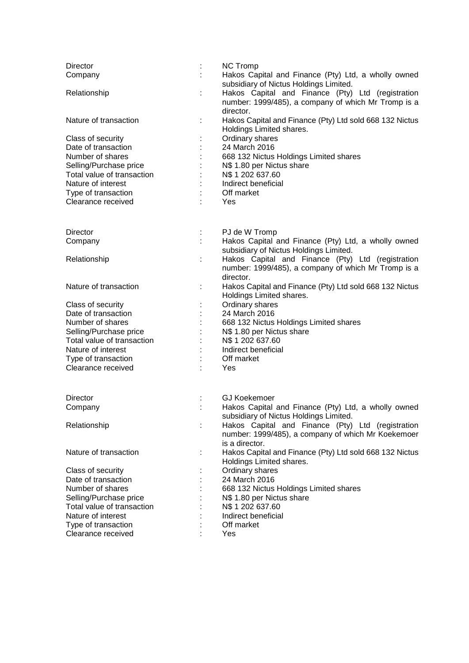| <b>Director</b>            |                | <b>NC Tromp</b>                                                                                                       |
|----------------------------|----------------|-----------------------------------------------------------------------------------------------------------------------|
| Company                    |                | Hakos Capital and Finance (Pty) Ltd, a wholly owned<br>subsidiary of Nictus Holdings Limited.                         |
| Relationship               | ÷              | Hakos Capital and Finance (Pty) Ltd (registration<br>number: 1999/485), a company of which Mr Tromp is a<br>director. |
| Nature of transaction      |                | Hakos Capital and Finance (Pty) Ltd sold 668 132 Nictus<br>Holdings Limited shares.                                   |
| Class of security          |                | Ordinary shares                                                                                                       |
| Date of transaction        |                | 24 March 2016                                                                                                         |
| Number of shares           |                | 668 132 Nictus Holdings Limited shares                                                                                |
| Selling/Purchase price     |                | N\$ 1.80 per Nictus share                                                                                             |
| Total value of transaction |                | N\$ 1 202 637.60                                                                                                      |
| Nature of interest         |                | Indirect beneficial                                                                                                   |
| Type of transaction        |                | Off market                                                                                                            |
| Clearance received         |                | Yes                                                                                                                   |
|                            |                |                                                                                                                       |
| <b>Director</b>            | ÷.             | PJ de W Tromp                                                                                                         |
| Company                    |                | Hakos Capital and Finance (Pty) Ltd, a wholly owned<br>subsidiary of Nictus Holdings Limited.                         |
| Relationship               | ÷              | Hakos Capital and Finance (Pty) Ltd (registration                                                                     |
|                            |                | number: 1999/485), a company of which Mr Tromp is a                                                                   |
|                            |                | director.                                                                                                             |
| Nature of transaction      | ÷              | Hakos Capital and Finance (Pty) Ltd sold 668 132 Nictus                                                               |
|                            |                | Holdings Limited shares.                                                                                              |
| Class of security          |                | Ordinary shares                                                                                                       |
| Date of transaction        | ÷              | 24 March 2016                                                                                                         |
| Number of shares           | $\ddot{\cdot}$ | 668 132 Nictus Holdings Limited shares                                                                                |
| Selling/Purchase price     |                | N\$ 1.80 per Nictus share                                                                                             |
| Total value of transaction |                | N\$ 1 202 637.60                                                                                                      |
| Nature of interest         |                | Indirect beneficial                                                                                                   |
| Type of transaction        |                | Off market                                                                                                            |
| Clearance received         |                | Yes                                                                                                                   |
|                            |                |                                                                                                                       |
| <b>Director</b>            |                | <b>GJ Koekemoer</b>                                                                                                   |
| Company                    |                | Hakos Capital and Finance (Pty) Ltd, a wholly owned<br>subsidiary of Nictus Holdings Limited.                         |
| Relationship               | t              | Hakos Capital and Finance (Pty) Ltd (registration                                                                     |
|                            |                | number: 1999/485), a company of which Mr Koekemoer                                                                    |
|                            |                | is a director.                                                                                                        |
| Nature of transaction      |                | Hakos Capital and Finance (Pty) Ltd sold 668 132 Nictus<br>Holdings Limited shares.                                   |
| Class of security          |                | Ordinary shares                                                                                                       |
| Date of transaction        |                | 24 March 2016                                                                                                         |
| Number of shares           |                | 668 132 Nictus Holdings Limited shares                                                                                |
| Selling/Purchase price     |                | N\$ 1.80 per Nictus share                                                                                             |
| Total value of transaction |                | N\$ 1 202 637.60                                                                                                      |
| Nature of interest         |                | Indirect beneficial                                                                                                   |
| Type of transaction        |                | Off market                                                                                                            |
| Clearance received         |                | Yes                                                                                                                   |
|                            |                |                                                                                                                       |